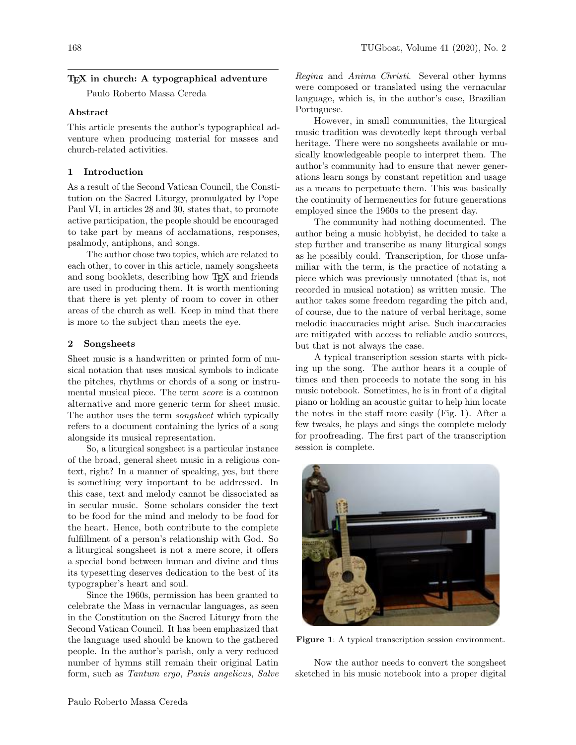## TEX in church: A typographical adventure

Paulo Roberto Massa Cereda

# Abstract

This article presents the author's typographical adventure when producing material for masses and church-related activities.

## 1 Introduction

As a result of the Second Vatican Council, the Constitution on the Sacred Liturgy, promulgated by Pope Paul VI, in articles 28 and 30, states that, to promote active participation, the people should be encouraged to take part by means of acclamations, responses, psalmody, antiphons, and songs.

The author chose two topics, which are related to each other, to cover in this article, namely songsheets and song booklets, describing how TEX and friends are used in producing them. It is worth mentioning that there is yet plenty of room to cover in other areas of the church as well. Keep in mind that there is more to the subject than meets the eye.

#### 2 Songsheets

Sheet music is a handwritten or printed form of musical notation that uses musical symbols to indicate the pitches, rhythms or chords of a song or instrumental musical piece. The term score is a common alternative and more generic term for sheet music. The author uses the term *songsheet* which typically refers to a document containing the lyrics of a song alongside its musical representation.

So, a liturgical songsheet is a particular instance of the broad, general sheet music in a religious context, right? In a manner of speaking, yes, but there is something very important to be addressed. In this case, text and melody cannot be dissociated as in secular music. Some scholars consider the text to be food for the mind and melody to be food for the heart. Hence, both contribute to the complete fulfillment of a person's relationship with God. So a liturgical songsheet is not a mere score, it offers a special bond between human and divine and thus its typesetting deserves dedication to the best of its typographer's heart and soul.

Since the 1960s, permission has been granted to celebrate the Mass in vernacular languages, as seen in the Constitution on the Sacred Liturgy from the Second Vatican Council. It has been emphasized that the language used should be known to the gathered people. In the author's parish, only a very reduced number of hymns still remain their original Latin form, such as Tantum ergo, Panis angelicus, Salve

Regina and Anima Christi. Several other hymns were composed or translated using the vernacular language, which is, in the author's case, Brazilian Portuguese.

However, in small communities, the liturgical music tradition was devotedly kept through verbal heritage. There were no songsheets available or musically knowledgeable people to interpret them. The author's community had to ensure that newer generations learn songs by constant repetition and usage as a means to perpetuate them. This was basically the continuity of hermeneutics for future generations employed since the 1960s to the present day.

The community had nothing documented. The author being a music hobbyist, he decided to take a step further and transcribe as many liturgical songs as he possibly could. Transcription, for those unfamiliar with the term, is the practice of notating a piece which was previously unnotated (that is, not recorded in musical notation) as written music. The author takes some freedom regarding the pitch and, of course, due to the nature of verbal heritage, some melodic inaccuracies might arise. Such inaccuracies are mitigated with access to reliable audio sources, but that is not always the case.

A typical transcription session starts with picking up the song. The author hears it a couple of times and then proceeds to notate the song in his music notebook. Sometimes, he is in front of a digital piano or holding an acoustic guitar to help him locate the notes in the staff more easily (Fig. [1\)](#page-0-0). After a few tweaks, he plays and sings the complete melody for proofreading. The first part of the transcription session is complete.



Figure 1: A typical transcription session environment.

<span id="page-0-0"></span>Now the author needs to convert the songsheet sketched in his music notebook into a proper digital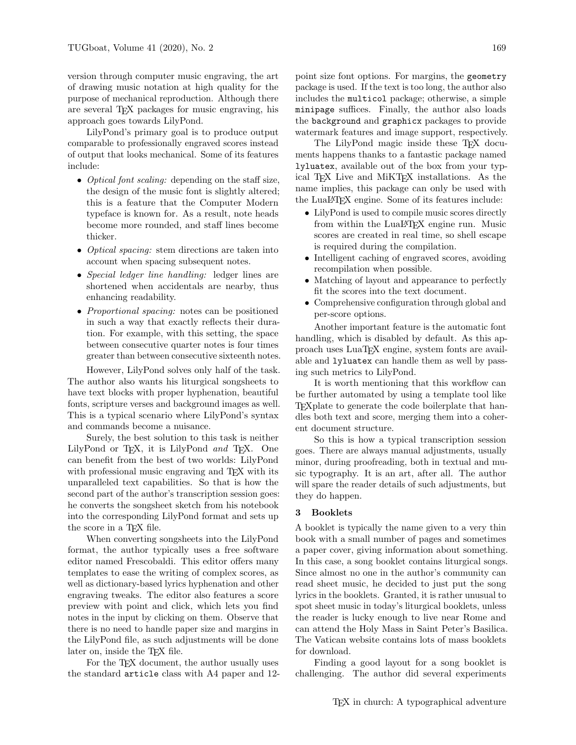version through computer music engraving, the art of drawing music notation at high quality for the purpose of mechanical reproduction. Although there are several TEX packages for music engraving, his approach goes towards LilyPond.

LilyPond's primary goal is to produce output comparable to professionally engraved scores instead of output that looks mechanical. Some of its features include:

- *Optical font scaling:* depending on the staff size, the design of the music font is slightly altered; this is a feature that the Computer Modern typeface is known for. As a result, note heads become more rounded, and staff lines become thicker.
- *Optical spacing:* stem directions are taken into account when spacing subsequent notes.
- Special ledger line handling: ledger lines are shortened when accidentals are nearby, thus enhancing readability.
- *Proportional spacing:* notes can be positioned in such a way that exactly reflects their duration. For example, with this setting, the space between consecutive quarter notes is four times greater than between consecutive sixteenth notes.

However, LilyPond solves only half of the task. The author also wants his liturgical songsheets to have text blocks with proper hyphenation, beautiful fonts, scripture verses and background images as well. This is a typical scenario where LilyPond's syntax and commands become a nuisance.

Surely, the best solution to this task is neither LilyPond or T<sub>EX</sub>, it is LilyPond and T<sub>EX</sub>. One can benefit from the best of two worlds: LilyPond with professional music engraving and T<sub>E</sub>X with its unparalleled text capabilities. So that is how the second part of the author's transcription session goes: he converts the songsheet sketch from his notebook into the corresponding LilyPond format and sets up the score in a T<sub>E</sub>X file.

When converting songsheets into the LilyPond format, the author typically uses a free software editor named Frescobaldi. This editor offers many templates to ease the writing of complex scores, as well as dictionary-based lyrics hyphenation and other engraving tweaks. The editor also features a score preview with point and click, which lets you find notes in the input by clicking on them. Observe that there is no need to handle paper size and margins in the LilyPond file, as such adjustments will be done later on, inside the TEX file.

For the T<sub>EX</sub> document, the author usually uses the standard article class with A4 paper and 12-

point size font options. For margins, the geometry package is used. If the text is too long, the author also includes the multicol package; otherwise, a simple minipage suffices. Finally, the author also loads the background and graphicx packages to provide watermark features and image support, respectively.

The LilyPond magic inside these T<sub>F</sub>X documents happens thanks to a fantastic package named lyluatex, available out of the box from your typical T<sub>EX</sub> Live and MiKT<sub>EX</sub> installations. As the name implies, this package can only be used with the LuaLATEX engine. Some of its features include:

- LilyPond is used to compile music scores directly from within the LuaL<sup>AT</sup>FX engine run. Music scores are created in real time, so shell escape is required during the compilation.
- Intelligent caching of engraved scores, avoiding recompilation when possible.
- Matching of layout and appearance to perfectly fit the scores into the text document.
- Comprehensive configuration through global and per-score options.

Another important feature is the automatic font handling, which is disabled by default. As this approach uses LuaTEX engine, system fonts are available and lyluatex can handle them as well by passing such metrics to LilyPond.

It is worth mentioning that this workflow can be further automated by using a template tool like TEXplate to generate the code boilerplate that handles both text and score, merging them into a coherent document structure.

So this is how a typical transcription session goes. There are always manual adjustments, usually minor, during proofreading, both in textual and music typography. It is an art, after all. The author will spare the reader details of such adjustments, but they do happen.

## 3 Booklets

A booklet is typically the name given to a very thin book with a small number of pages and sometimes a paper cover, giving information about something. In this case, a song booklet contains liturgical songs. Since almost no one in the author's community can read sheet music, he decided to just put the song lyrics in the booklets. Granted, it is rather unusual to spot sheet music in today's liturgical booklets, unless the reader is lucky enough to live near Rome and can attend the Holy Mass in Saint Peter's Basilica. The Vatican website contains lots of mass booklets for download.

Finding a good layout for a song booklet is challenging. The author did several experiments